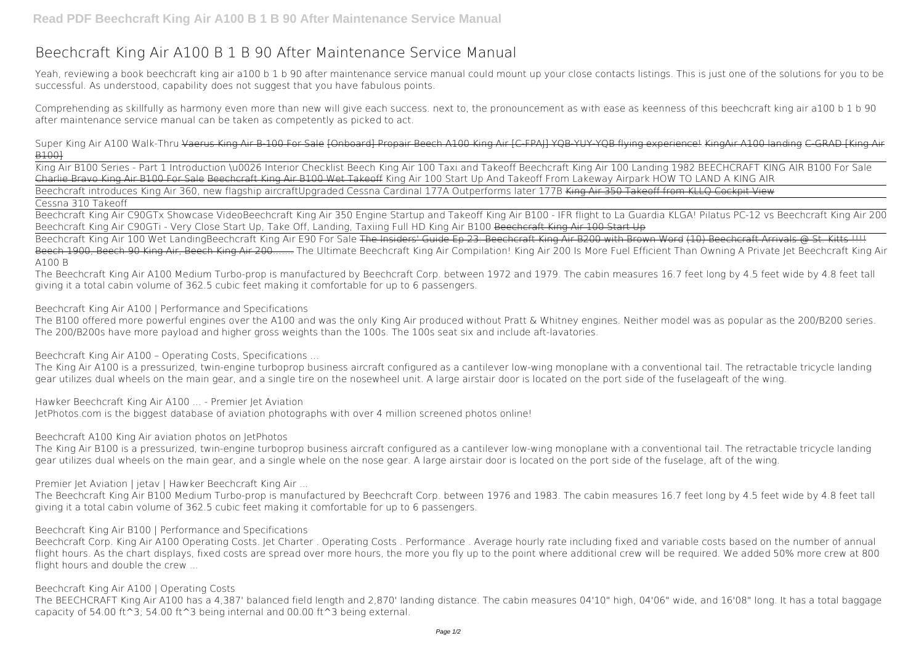## **Beechcraft King Air A100 B 1 B 90 After Maintenance Service Manual**

Yeah, reviewing a book **beechcraft king air a100 b 1 b 90 after maintenance service manual** could mount up your close contacts listings. This is just one of the solutions for you to be successful. As understood, capability does not suggest that you have fabulous points.

Comprehending as skillfully as harmony even more than new will give each success. next to, the pronouncement as with ease as keenness of this beechcraft king air a100 b 1 b 90 after maintenance service manual can be taken as competently as picked to act.

*Super King Air A100 Walk-Thru* Vaerus King Air B-100 For Sale [Onboard] Propair Beech A100 King Air [C-FPAJ] YQB-YUY-YQB flying experience! KingAir A100 landing C-GRAD [King Air B100]

Beechcraft King Air 100 Wet LandingBeechcraft King Air E90 For Sale The Insiders' Guide Ep 23: Beechcraft King Air B200 with Brown Word (10) Beechcraft Arrivals @ St. Kitts !!!! Beech 1900, Beech 90 King Air, Beech King Air 200....... *The Ultimate Beechcraft King Air Compilation! King Air 200 Is More Fuel Efficient Than Owning A Private Jet* Beechcraft King Air A100 B

King Air B100 Series - Part 1 Introduction \u0026 Interior Checklist Beech King Air 100 Taxi and Takeoff **Beechcraft King Air 100 Landing** 1982 BEECHCRAFT KING AIR B100 For Sale Charlie Bravo King Air B100 For Sale Beechcraft King Air B100 Wet Takeoff **King Air 100 Start Up And Takeoff From Lakeway Airpark** *HOW TO LAND A KING AIR* Beechcraft introduces King Air 360, new flagship aircraft**Upgraded Cessna Cardinal 177A Outperforms later 177B** King Air 350 Takeoff from KLLQ Cockpit View

## Cessna 310 Takeoff

Beechcraft King Air C90GTx Showcase Video*Beechcraft King Air 350 Engine Startup and Takeoff King Air B100 - IFR flight to La Guardia KLGA! Pilatus PC-12 vs Beechcraft King Air 200* **Beechcraft King Air C90GTi - Very Close Start Up, Take Off, Landing, Taxiing Full HD** King Air B100 Beechcraft King Air 100 Start Up

The Beechcraft King Air A100 Medium Turbo-prop is manufactured by Beechcraft Corp. between 1972 and 1979. The cabin measures 16.7 feet long by 4.5 feet wide by 4.8 feet tall giving it a total cabin volume of 362.5 cubic feet making it comfortable for up to 6 passengers.

Beechcraft King Air A100 | Performance and Specifications

The B100 offered more powerful engines over the A100 and was the only King Air produced without Pratt & Whitney engines. Neither model was as popular as the 200/B200 series. The 200/B200s have more payload and higher gross weights than the 100s. The 100s seat six and include aft-lavatories.

Beechcraft King Air A100 – Operating Costs, Specifications ...

The King Air A100 is a pressurized, twin-engine turboprop business aircraft configured as a cantilever low-wing monoplane with a conventional tail. The retractable tricycle landing gear utilizes dual wheels on the main gear, and a single tire on the nosewheel unit. A large airstair door is located on the port side of the fuselageaft of the wing.

Hawker Beechcraft King Air A100 ... - Premier Jet Aviation JetPhotos.com is the biggest database of aviation photographs with over 4 million screened photos online!

Beechcraft A100 King Air aviation photos on JetPhotos

The King Air B100 is a pressurized, twin-engine turboprop business aircraft configured as a cantilever low-wing monoplane with a conventional tail. The retractable tricycle landing gear utilizes dual wheels on the main gear, and a single whele on the nose gear. A large airstair door is located on the port side of the fuselage, aft of the wing.

Premier Jet Aviation | jetav | Hawker Beechcraft King Air ...

The Beechcraft King Air B100 Medium Turbo-prop is manufactured by Beechcraft Corp. between 1976 and 1983. The cabin measures 16.7 feet long by 4.5 feet wide by 4.8 feet tall giving it a total cabin volume of 362.5 cubic feet making it comfortable for up to 6 passengers.

Beechcraft King Air B100 | Performance and Specifications

Beechcraft Corp. King Air A100 Operating Costs. Jet Charter . Operating Costs . Performance . Average hourly rate including fixed and variable costs based on the number of annual flight hours. As the chart displays, fixed costs are spread over more hours, the more you fly up to the point where additional crew will be required. We added 50% more crew at 800 flight hours and double the crew ...

Beechcraft King Air A100 | Operating Costs

The BEECHCRAFT King Air A100 has a 4,387' balanced field length and 2,870' landing distance. The cabin measures 04'10" high, 04'06" wide, and 16'08" long. It has a total baggage capacity of 54.00 ft^3; 54.00 ft^3 being internal and 00.00 ft^3 being external.